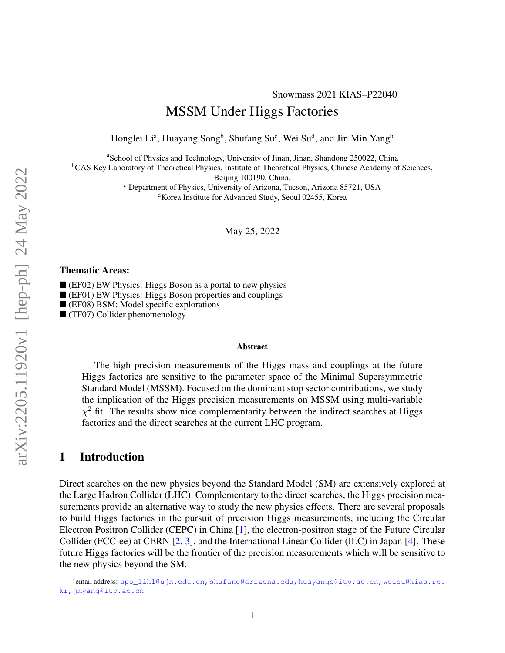#### Snowmass 2021 KIAS–P22040

## MSSM Under Higgs Factories

Honglei Li<sup>a</sup>, Huayang Song<sup>b</sup>, Shufang Su<sup>c</sup>, Wei Su<sup>d</sup>, and Jin Min Yang<sup>b</sup>

<sup>a</sup>School of Physics and Technology, University of Jinan, Jinan, Shandong 250022, China

<sup>b</sup>CAS Key Laboratory of Theoretical Physics, Institute of Theoretical Physics, Chinese Academy of Sciences, Beijing 100190, China.

> <sup>c</sup> Department of Physics, University of Arizona, Tucson, Arizona 85721, USA <sup>d</sup>Korea Institute for Advanced Study, Seoul 02455, Korea

> > May 25, 2022

#### Thematic Areas:

(EF02) EW Physics: Higgs Boson as a portal to new physics

(EF01) EW Physics: Higgs Boson properties and couplings

(EF08) BSM: Model specific explorations

(TF07) Collider phenomenology

#### Abstract

The high precision measurements of the Higgs mass and couplings at the future Higgs factories are sensitive to the parameter space of the Minimal Supersymmetric Standard Model (MSSM). Focused on the dominant stop sector contributions, we study the implication of the Higgs precision measurements on MSSM using multi-variable  $\chi^2$  fit. The results show nice complementarity between the indirect searches at Higgs factories and the direct searches at the current LHC program.

## 1 Introduction

Direct searches on the new physics beyond the Standard Model (SM) are extensively explored at the Large Hadron Collider (LHC). Complementary to the direct searches, the Higgs precision measurements provide an alternative way to study the new physics effects. There are several proposals to build Higgs factories in the pursuit of precision Higgs measurements, including the Circular Electron Positron Collider (CEPC) in China [\[1\]](#page-3-0), the electron-positron stage of the Future Circular Collider (FCC-ee) at CERN [\[2,](#page-4-0) [3\]](#page-4-1), and the International Linear Collider (ILC) in Japan [\[4\]](#page-4-2). These future Higgs factories will be the frontier of the precision measurements which will be sensitive to the new physics beyond the SM.

<sup>\*</sup>email address: [sps\\_lihl@ujn.edu.cn,shufang@arizona.edu,huayangs@itp.ac.cn,weisu@kias.re.](sps_lihl@ujn.edu.cn, shufang@arizona.edu, huayangs@itp.ac.cn, weisu@kias.re.kr, jmyang@itp.ac.cn) [kr,jmyang@itp.ac.cn](sps_lihl@ujn.edu.cn, shufang@arizona.edu, huayangs@itp.ac.cn, weisu@kias.re.kr, jmyang@itp.ac.cn)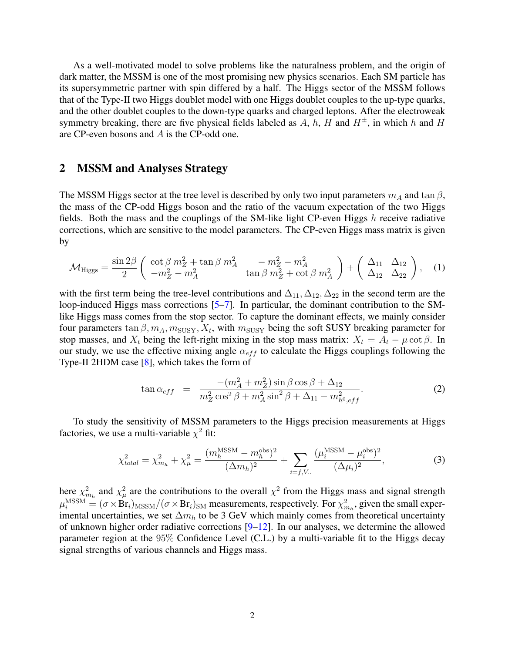As a well-motivated model to solve problems like the naturalness problem, and the origin of dark matter, the MSSM is one of the most promising new physics scenarios. Each SM particle has its supersymmetric partner with spin differed by a half. The Higgs sector of the MSSM follows that of the Type-II two Higgs doublet model with one Higgs doublet couples to the up-type quarks, and the other doublet couples to the down-type quarks and charged leptons. After the electroweak symmetry breaking, there are five physical fields labeled as A, h, H and  $H^{\pm}$ , in which h and H are CP-even bosons and A is the CP-odd one.

## 2 MSSM and Analyses Strategy

The MSSM Higgs sector at the tree level is described by only two input parameters  $m_A$  and tan  $\beta$ , the mass of the CP-odd Higgs boson and the ratio of the vacuum expectation of the two Higgs fields. Both the mass and the couplings of the SM-like light CP-even Higgs  $h$  receive radiative corrections, which are sensitive to the model parameters. The CP-even Higgs mass matrix is given by

$$
\mathcal{M}_{\text{Higgs}} = \frac{\sin 2\beta}{2} \left( \begin{array}{cc} \cot \beta m_Z^2 + \tan \beta m_A^2 & -m_Z^2 - m_A^2 \\ -m_Z^2 - m_A^2 & \tan \beta m_Z^2 + \cot \beta m_A^2 \end{array} \right) + \left( \begin{array}{cc} \Delta_{11} & \Delta_{12} \\ \Delta_{12} & \Delta_{22} \end{array} \right), \quad (1)
$$

with the first term being the tree-level contributions and  $\Delta_{11}, \Delta_{12}, \Delta_{22}$  in the second term are the loop-induced Higgs mass corrections [\[5](#page-4-3)[–7\]](#page-4-4). In particular, the dominant contribution to the SMlike Higgs mass comes from the stop sector. To capture the dominant effects, we mainly consider four parameters  $\tan \beta$ ,  $m_A$ ,  $m_{\text{SUSY}}$ ,  $X_t$ , with  $m_{\text{SUSY}}$  being the soft SUSY breaking parameter for stop masses, and  $X_t$  being the left-right mixing in the stop mass matrix:  $X_t = A_t - \mu \cot \beta$ . In our study, we use the effective mixing angle  $\alpha_{eff}$  to calculate the Higgs couplings following the Type-II 2HDM case [\[8\]](#page-4-5), which takes the form of

$$
\tan \alpha_{eff} = \frac{-(m_A^2 + m_Z^2)\sin \beta \cos \beta + \Delta_{12}}{m_Z^2 \cos^2 \beta + m_A^2 \sin^2 \beta + \Delta_{11} - m_{h^0, eff}^2}.
$$
 (2)

To study the sensitivity of MSSM parameters to the Higgs precision measurements at Higgs factories, we use a multi-variable  $\chi^2$  fit:

$$
\chi_{total}^2 = \chi_{m_h}^2 + \chi_{\mu}^2 = \frac{(m_h^{\text{MSSM}} - m_h^{\text{obs}})^2}{(\Delta m_h)^2} + \sum_{i=f,V..} \frac{(\mu_i^{\text{MSSM}} - \mu_i^{\text{obs}})^2}{(\Delta \mu_i)^2},
$$
(3)

here  $\chi^2_{m_h}$  and  $\chi^2_{\mu}$  are the contributions to the overall  $\chi^2$  from the Higgs mass and signal strength  $\mu_i^{\rm MSSM}=(\sigma\times{\rm Br}_i)_{\rm MSSM}/(\sigma\times{\rm Br}_i)_{\rm SM}$  measurements, respectively. For  $\chi^2_{m_h},$  given the small experimental uncertainties, we set  $\Delta m_h$  to be 3 GeV which mainly comes from theoretical uncertainty of unknown higher order radiative corrections  $[9-12]$  $[9-12]$ . In our analyses, we determine the allowed parameter region at the 95% Confidence Level (C.L.) by a multi-variable fit to the Higgs decay signal strengths of various channels and Higgs mass.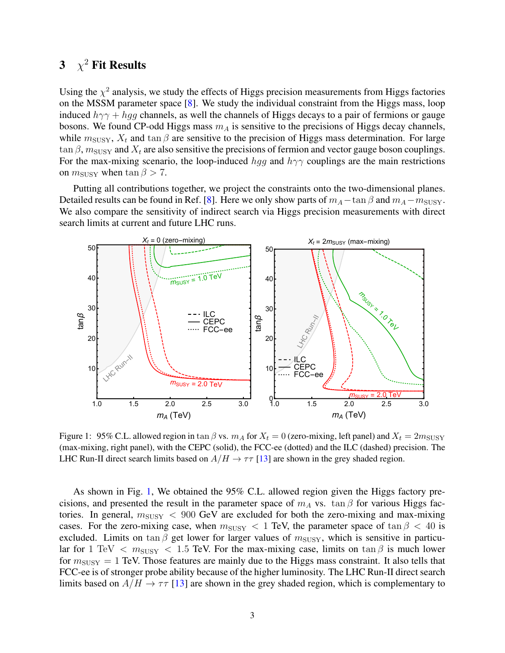# 3  $\chi^2$  Fit Results

Using the  $\chi^2$  analysis, we study the effects of Higgs precision measurements from Higgs factories on the MSSM parameter space [\[8\]](#page-4-5). We study the individual constraint from the Higgs mass, loop induced  $h\gamma\gamma + hgg$  channels, as well the channels of Higgs decays to a pair of fermions or gauge bosons. We found CP-odd Higgs mass  $m_A$  is sensitive to the precisions of Higgs decay channels, while  $m_{\text{SUSY}}$ ,  $X_t$  and tan  $\beta$  are sensitive to the precision of Higgs mass determination. For large  $\tan \beta$ ,  $m_{\text{SUSY}}$  and  $X_t$  are also sensitive the precisions of fermion and vector gauge boson couplings. For the max-mixing scenario, the loop-induced hgg and  $h\gamma\gamma$  couplings are the main restrictions on  $m_{\text{SUSY}}$  when  $\tan \beta > 7$ .

Putting all contributions together, we project the constraints onto the two-dimensional planes. Detailed results can be found in Ref. [\[8\]](#page-4-5). Here we only show parts of  $m_A - \tan \beta$  and  $m_A - m_{\text{SUSY}}$ . We also compare the sensitivity of indirect search via Higgs precision measurements with direct search limits at current and future LHC runs.



<span id="page-2-0"></span>Figure 1: 95% C.L. allowed region in tan  $\beta$  vs.  $m_A$  for  $X_t = 0$  (zero-mixing, left panel) and  $X_t = 2m_{\text{SUSY}}$ (max-mixing, right panel), with the CEPC (solid), the FCC-ee (dotted) and the ILC (dashed) precision. The LHC Run-II direct search limits based on  $A/H \to \tau \tau$  [\[13\]](#page-4-8) are shown in the grey shaded region.

As shown in Fig. [1,](#page-2-0) We obtained the 95% C.L. allowed region given the Higgs factory precisions, and presented the result in the parameter space of  $m_A$  vs. tan  $\beta$  for various Higgs factories. In general,  $m_{SUSY}$  < 900 GeV are excluded for both the zero-mixing and max-mixing cases. For the zero-mixing case, when  $m_{\text{SUSY}} < 1$  TeV, the parameter space of tan  $\beta < 40$  is excluded. Limits on tan  $\beta$  get lower for larger values of  $m_{\text{SUSY}}$ , which is sensitive in particular for 1 TeV  $\langle$  m<sub>SUSY</sub>  $\langle$  1.5 TeV. For the max-mixing case, limits on tan  $\beta$  is much lower for  $m_{SUSY} = 1$  TeV. Those features are mainly due to the Higgs mass constraint. It also tells that FCC-ee is of stronger probe ability because of the higher luminosity. The LHC Run-II direct search limits based on  $A/H \to \tau \tau$  [\[13\]](#page-4-8) are shown in the grey shaded region, which is complementary to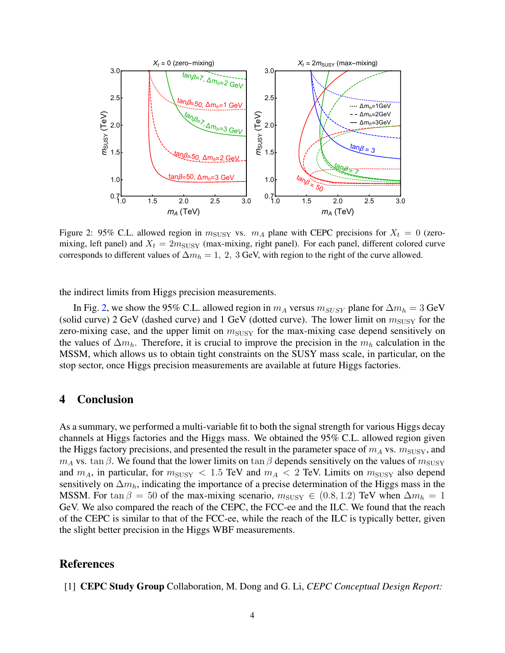

<span id="page-3-1"></span>Figure 2: 95% C.L. allowed region in  $m_{\text{SUSY}}$  vs.  $m_A$  plane with CEPC precisions for  $X_t = 0$  (zeromixing, left panel) and  $X_t = 2m_{\text{SUSY}}$  (max-mixing, right panel). For each panel, different colored curve corresponds to different values of  $\Delta m_h = 1, 2, 3$  GeV, with region to the right of the curve allowed.

the indirect limits from Higgs precision measurements.

In Fig. [2,](#page-3-1) we show the 95% C.L. allowed region in  $m_A$  versus  $m_{SUSY}$  plane for  $\Delta m_h = 3$  GeV (solid curve) 2 GeV (dashed curve) and 1 GeV (dotted curve). The lower limit on  $m_{\text{SUSY}}$  for the zero-mixing case, and the upper limit on  $m_{\text{SUSY}}$  for the max-mixing case depend sensitively on the values of  $\Delta m_h$ . Therefore, it is crucial to improve the precision in the  $m_h$  calculation in the MSSM, which allows us to obtain tight constraints on the SUSY mass scale, in particular, on the stop sector, once Higgs precision measurements are available at future Higgs factories.

## 4 Conclusion

As a summary, we performed a multi-variable fit to both the signal strength for various Higgs decay channels at Higgs factories and the Higgs mass. We obtained the 95% C.L. allowed region given the Higgs factory precisions, and presented the result in the parameter space of  $m_A$  vs.  $m_{\text{SUSY}}$ , and  $m_A$  vs. tan  $\beta$ . We found that the lower limits on tan  $\beta$  depends sensitively on the values of  $m_{\text{SUSY}}$ and  $m_A$ , in particular, for  $m_{SUSY} < 1.5$  TeV and  $m_A < 2$  TeV. Limits on  $m_{SUSY}$  also depend sensitively on  $\Delta m_h$ , indicating the importance of a precise determination of the Higgs mass in the MSSM. For tan  $\beta = 50$  of the max-mixing scenario,  $m_{SUSY} \in (0.8, 1.2)$  TeV when  $\Delta m_h = 1$ GeV. We also compared the reach of the CEPC, the FCC-ee and the ILC. We found that the reach of the CEPC is similar to that of the FCC-ee, while the reach of the ILC is typically better, given the slight better precision in the Higgs WBF measurements.

### References

<span id="page-3-0"></span>[1] CEPC Study Group Collaboration, M. Dong and G. Li, *CEPC Conceptual Design Report:*